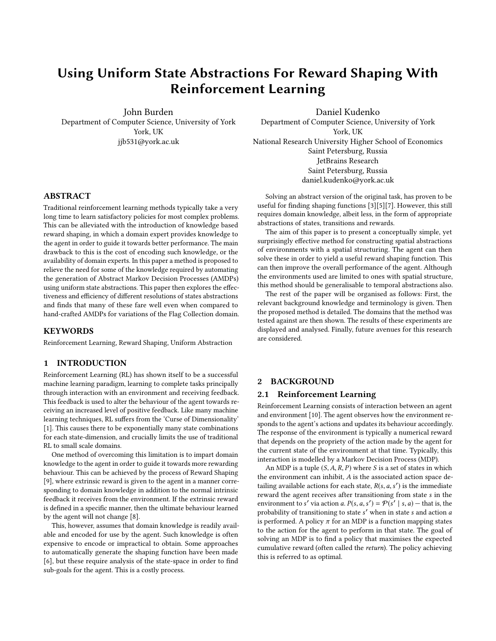# Using Uniform State Abstractions For Reward Shaping With Reinforcement Learning

John Burden Department of Computer Science, University of York York, UK jjb531@york.ac.uk

Daniel Kudenko Department of Computer Science, University of York York, UK National Research University Higher School of Economics Saint Petersburg, Russia JetBrains Research Saint Petersburg, Russia daniel.kudenko@york.ac.uk

Solving an abstract version of the original task, has proven to be useful for finding shaping functions [\[3\]](#page-5-4)[\[5\]](#page-5-5)[\[7\]](#page-5-6). However, this still requires domain knowledge, albeit less, in the form of appropriate abstractions of states, transitions and rewards.

The aim of this paper is to present a conceptually simple, yet surprisingly effective method for constructing spatial abstractions of environments with a spatial structuring. The agent can then solve these in order to yield a useful reward shaping function. This can then improve the overall performance of the agent. Although the environments used are limited to ones with spatial structure, this method should be generalisable to temporal abstractions also.

The rest of the paper will be organised as follows: First, the relevant background knowledge and terminology is given. Then the proposed method is detailed. The domains that the method was tested against are then shown. The results of these experiments are displayed and analysed. Finally, future avenues for this research are considered.

# 2 BACKGROUND

#### 2.1 Reinforcement Learning

Reinforcement Learning consists of interaction between an agent and environment [\[10\]](#page-5-7). The agent observes how the environment responds to the agent's actions and updates its behaviour accordingly. The response of the environment is typically a numerical reward that depends on the propriety of the action made by the agent for the current state of the environment at that time. Typically, this interaction is modelled by a Markov Decision Process (MDP).

An MDP is a tuple  $(S, A, R, P)$  where S is a set of states in which the environment can inhibit, A is the associated action space detailing available actions for each state,  $R(s, a, s')$  is the immediate<br>reward the agent receives after transitioning from state s in the reward the agent receives after transitioning from state s in the environment to s' via action a.  $P(s, a, s') = \mathcal{P}(s' \mid s, a)$  — that is, the probability of transitioning to state s' when in state s and action a<br>is performed. A policy  $\pi$  for an MDP is a function manning states is performed. A policy  $\pi$  for an MDP is a function mapping states to the action for the agent to perform in that state. The goal of solving an MDP is to find a policy that maximises the expected cumulative reward (often called the return). The policy achieving this is referred to as optimal.

# ABSTRACT

Traditional reinforcement learning methods typically take a very long time to learn satisfactory policies for most complex problems. This can be alleviated with the introduction of knowledge based reward shaping, in which a domain expert provides knowledge to the agent in order to guide it towards better performance. The main drawback to this is the cost of encoding such knowledge, or the availability of domain experts. In this paper a method is proposed to relieve the need for some of the knowledge required by automating the generation of Abstract Markov Decision Processes (AMDPs) using uniform state abstractions. This paper then explores the effectiveness and efficiency of different resolutions of states abstractions and finds that many of these fare well even when compared to hand-crafted AMDPs for variations of the Flag Collection domain.

## **KEYWORDS**

Reinforcement Learning, Reward Shaping, Uniform Abstraction

## 1 INTRODUCTION

Reinforcement Learning (RL) has shown itself to be a successful machine learning paradigm, learning to complete tasks principally through interaction with an environment and receiving feedback. This feedback is used to alter the behaviour of the agent towards receiving an increased level of positive feedback. Like many machine learning techniques, RL suffers from the 'Curse of Dimensionality' [\[1\]](#page-5-0). This causes there to be exponentially many state combinations for each state-dimension, and crucially limits the use of traditional RL to small scale domains.

One method of overcoming this limitation is to impart domain knowledge to the agent in order to guide it towards more rewarding behaviour. This can be achieved by the process of Reward Shaping [\[9\]](#page-5-1), where extrinsic reward is given to the agent in a manner corresponding to domain knowledge in addition to the normal intrinsic feedback it receives from the environment. If the extrinsic reward is defined in a specific manner, then the ultimate behaviour learned by the agent will not change [\[8\]](#page-5-2).

This, however, assumes that domain knowledge is readily available and encoded for use by the agent. Such knowledge is often expensive to encode or impractical to obtain. Some approaches to automatically generate the shaping function have been made [\[6\]](#page-5-3), but these require analysis of the state-space in order to find sub-goals for the agent. This is a costly process.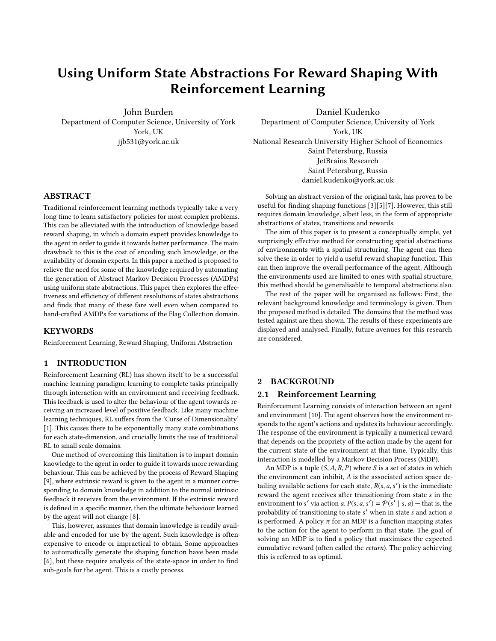Iterative approaches are often used to find the optimal policy. Algorithms based on these approaches often utilize temporaldifference (TD) updates, which update values of states  $V(s)$  or stateaction pairs  $Q(s, a)$ , based on estimates of these value functions at different times.

One fundamental TD algorithm is called Q-Learning [\[10\]](#page-5-7), and after each transition  $s \xrightarrow{a} s'$ , updates the Q values:

$$
Q(s, a) = Q(s, a) + \alpha(R(s, a, s') + \gamma \max_{a'} Q(s', a') - Q(s, a))
$$

Here  $\alpha$  is the learning rate, a measure indicating how to weight new information Q-values against old,  $\gamma$  is the discount factor, that weights regard for future reward as opposed to immediate.

When selecting actions, it is important to balance both "exploration and exploitation" [\[10\]](#page-5-7). This is necessary in order for the agent to avoid becoming trapped within locally optimum policies. To achieve this balance, the agent, with probability  $\epsilon$ , selects an available action at random. With probability  $1 - \epsilon$  the agent selects the action *a*, when in state *s*, that maximises the value of  $Q(s, a)$ .

In order to speed up the learning process, the agent can make multiple updates for each observation, following the trajectory of state-action pairs of which the agent has recently directly experienced. Each of these state-action pairs is recorded, and each of these pairs has an associated value referred to as its eligibility. This eligibility value is multiplied by the the temporal difference to create the new update value. This is done for all pairs in the trajectory. After an action is taken, the current state-action pair has its eligibility set to 1, and the other state-action pairs in the trajectory have their eligibility multiplied by some parameter  $\lambda \leq 1$ . The addition to Q-Learning speeds up propagation of the TD values through the state-action space. Q-Learning using these eligibility traces is referred to as  $Q(\lambda)$ -Learning [\[10\]](#page-5-7).

Despite the speed up in the learning process given by  $Q(\lambda)$ -Learning, the learning process is still intractably slow for many complex problems. This is due to the aforementioned Curse of Dimensionality. In order to overcome this issue, some form of generalisation or conveyance of knowledge to the agent is required. This motivates the creation of new models for RL to use in order to utilise these these approaches.

## 2.2 Abstract Markov Decision Processes

An Abstract Markov Decision Process (AMDP) is, much like an MDP, a tuple  $(T, A, R, P)$ . T is a set of *abstract* states. A is a set of abstract actions, corresponding to chains of primitive actions in the MDP. R is an abstract reward function, with  $R(t, a, t')$  denoting<br>the reward given when an agent moves from abstract state t to the reward given when an agent moves from abstract state  $t$  to t function, working in the same way as for an MDP. There exists also  $t'$  using abstract action  $a$ . Finally,  $P$  is the transition probability an abstraction function Z such that for  $s \in S$  of the associated MDP  $Z(s) = t$  denotes that state s is encapsulated by abstract state t. AMDPs are useful generalisations of large MDPs that reduce large, intricate problems to smaller, simpler ones.

## 2.3 Reward Shaping

One form of giving knowledge to the agent is reward shaping. Reward shaping consists of giving the agent some additional reward

 $F(s, a, s')$  that represents prior knowledge. This additional knowledge intuitively is used to steer the agent in the right direction edge intuitively is used to steer the agent in the right direction. With this additional reward the Q-Learning update becomes:

$$
Q(s, a) = Q(s, a) + \alpha (R(s, a, s') + F(s, a, s') + \gamma \max_{a'} Q(s', a') - Q(s, a))
$$

It has been shown that if this additional reward is given as the difference of the potential of the two states, that is,

$$
F(s, a, s') = \gamma \phi(s') - \phi(s)
$$

then the optimal policy will not change as a result of this extra reward [\[8\]](#page-5-2). Without this potential based reward shaping — using just arbitrary extra reward — the optimal policy can indeed change [\[9\]](#page-5-1). The main concern with reward shaping from a practical perspective is the origin of the potential function  $\phi$ . Defining some function that gives an indication of the "quality" of a transition is often time consuming or infeasible, due to the sheer number of such transitions.

## <span id="page-1-0"></span>2.4 Abstract Reward Shaping With AMDPs

One method of inducing a potential function with comparatively little external input is to solve an abstract version of the problem using an appropriate AMDP [\[3\]](#page-5-4). If this is done using value iteration, then there will be a value  $V(t)$ , for each abstract state  $t \in T$  of the AMDP. For each state  $s \in S$  of the MDP, the potential function for reward shaping can then be set to  $\phi(s) = \omega V(Z(t))$ , for some  $\omega$ used to tune the weighting given to this external reward, and the state abstraction function Z.

## 3 DOMAIN EXPERTS AND KNOWLEDGE REVISION

Domain experts can be used in order to construct appropriate AMDPs for specific environments [\[3\]](#page-5-4). This involves defining an abstraction function  $Z$  mapping low-level states to abstract states, as well as transition and reward functions for the AMDP. This hand-crafted AMDP can then be easily solved using value iteration before the learning process begins. Then it can be used for reward shaping in the manner given in section [2.4.](#page-1-0)

Whilst this approach certainly requires less input than defining  $\phi$  over every state, it can still be considerable work for the domain expert. Moreover, the suitable state abstractions may even be only partially known, or not known at all.

Domain experts are not infallible and will potentially make mistakes. Inaccuracies in reward shaping can lead to a slower convergence rate [\[2\]](#page-5-8). This has been addressed using knowledge revision for AMDPs [\[4\]](#page-5-9). In this approach, the abstract agent updates its transition probabilities to reflect its experiences. During each episode, the agent records which abstract transitions  $t \xrightarrow{a} t'$  are used. At the and of the enjoyed the agent applies the following undate rule the end of the episode, the agent applies the following update rule to each transition in the AMDP. The AMDP is then resolved.

$$
P(t, a, t') = \begin{cases} P(t, a, t') + \alpha(1 - P(t, a, t')), if t \xrightarrow{a} t' \text{occurred} \\ P(t, a, t') + \alpha(0 - P(t, a, t')), \text{otherwise} \end{cases}
$$

Principally, doing this causes states that are not visited to have a lower probability attached to their associated transitions. States may not be visited due to incorrect domain knowledge or due to poor expected long-term reward. This yields lower values for  $V(s)$ ,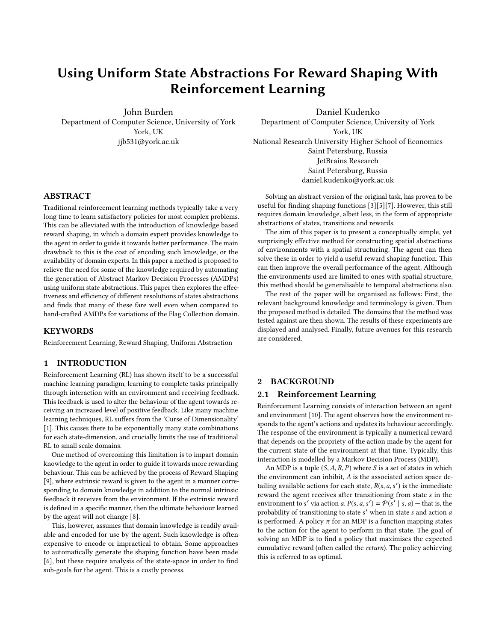which in turn reduces the probability that AMDP will attempt to utilize these states for shaping. The downside to this approach is that resolving the AMDP can be very costly, depending on its size.

# 4 EXPERIMENTAL DOMAIN

The environment that will be used to evaluate various abstractions for RL is the Flag Collection domain.

The Flag Collection domain is an augmentation of the navigational Gridworld environment. The agent is tasked with traversing a grid of cells, locating and picking up flags and taking them to the goal. The states of the environment are the grid cells, as well as which flags have been picked up so far. The agent can move in the four cardinal directions one cell at a time. In this environment the agent is given reward zero after almost every transition. The exceptions to this are when it reaches the goal, at which point the agent receives a reward proportional to number of flags collected (1000 times the number of flags collected). The agent also receives a smaller reward of 100 when it picks up a flag. The agent's task is made more difficult by impassable walls, spread throughout the domain. Further, the domain does not "roll", the agent cannot move out of the area and reappear on the other side. Episodes within the flag domain only terminate when the agent reaches the goal state.

The Flag Collection environment has intuitive abstractions. Abstract states are in the form of 'rooms', which are defined as collections of adjacent cells. Rooms are often formed naturally by walls within the environment, which limit movement. Abstract transitions are simply transitions between rooms instead of individual cells.

The Flag Collection domain was also selected for its scalability — it can be arbitrarily large with many flags. It also has been extensively used to evaluate RL algorithms and therefore is a solid choice for comparing the results here against benchmarks.

Different factors of this domain may markedly change the difficulty for an agent to complete its task. These factors may include parameters such as the connectivity of the rooms making up the environment, the presence of wide open spaces, long corridors, the total number of states, among others. In order to assess the utility of any RL method it seems prudent to test the method on multiple Flag Collection domains, each expressing a factor that may affect performance. As such, six variations on the domain were evaluated in this paper. These variations are shown in figure [1.](#page-3-0)

It is worth mentioning that not all environments naturally have such a spatial structure like the Flag Collection domain. In Section [7.1.1](#page-5-10) it is described how this method could be extended to deal with temporal abstractions.

These variations are additionally described in Table [1.](#page-4-0)

## <span id="page-2-0"></span>5 METHOD

Bestowing to the agent knowledge from a domain expert, whilst having been shown to be helpful, is sometimes intractable or impractical. This is often due to lack of knowledgeable domain experts or the expense of encoding the appropriate knowledge. The method presented here attempts to recover some of the benefits of providing such knowledge, without the associated costs or time sinks. This is achieved using a simple uniform partitioning of the environment

into abstract states and combining this with AMDP-based reward shaping.

For the purposes of this paper, a 'tiling' of an environment will refer to a partition of the environment into uniform shapes of equal size. The size of these tilings will be denoted by how many constituent concrete states make up each individual tile. For example, if a two dimensional environment is tiled using a  $3 \times 3$  tiling, then each tile is a square containing  $3^2$  cells.

In the aid of reducing confusion over nomenclature, when referring to the distinct method of 'Tile Coding' [\[10\]](#page-5-7), the full name shall be used in order to distinguish it from the method presented here.

To begin the method presented by this paper, take an environment and tile it using an appropriate sized tiling — the appropriate size will often depend on time available and the size of the environment — it can be considered a hyper-parameter of the system. This tiling partition is then to be used to construct the corresponding AMDP in order to be used for AMDP reward shaping. The state abstraction function will be given as the mapping from concrete state to tile. The abstract actions available in each state are moving to adjacent tiles in the abstract state space.

The abstract reward is defined in such a way to represent a simplified version of the reward, essentially representing a manner of measuring the "success" of the agent. Abstract rewards are usually quite sparse. For instance, there may be zero reward entirely until the end of an episode, where a single evaluation of performance is given, say for a number of tasks completed. In order for this to be realisable, the abstract agent may need to be told in which abstract states certain tasks can be completed. This, unfortunately, is provided by external domain knowledge. However this was always present in hand labelled abstractions used in previous work [\[9\]](#page-5-1). There is still significantly less information given to the agent, as the abstract states or transitions in this method are determined automatically. From needing domain knowledge of the abstract states, available transitions and abstract rewards, this method reduces the required knowledge to just abstract rewards.

Once this AMDP is constructed, value iteration is used to calculate  $V(s)$  for each abstract state. Then, as is typical for AMDP reward shaping, the extrinsic reward is defined as

 $F(s, a, s') = \gamma \phi(s') - \phi(s) = \gamma \omega V(Z(s')) - \omega V(Z(s))$ 

where *Z* is the state abstraction function.

#### 5.1 Difference From Tile Coding

It is important to distinguish the method proposed by this paper from Tile Coding. Tile Coding is a technique for RL to help the agent to generalise states, especially for continuous domains [\[10\]](#page-5-7). Tile Coding does this by having a number of 'Tilings' that are larger than the state space. Each tiling consists of a number of 'active tiles' which partition the state space. All of the tilings are offset from each other by a known amount. This possibly changes which active tiles each state is part of for each tiling. Each state now belongs to exactly one active tile for each tiling. This leads to a feature vector representation mapping local groups of states to the same vector. These vectors are then used for function approximation RL methods, where the agent learns over the Tile-space.

Whilst Tile Coding seems similar to the method proposed at first glance, there are a few important differences to note.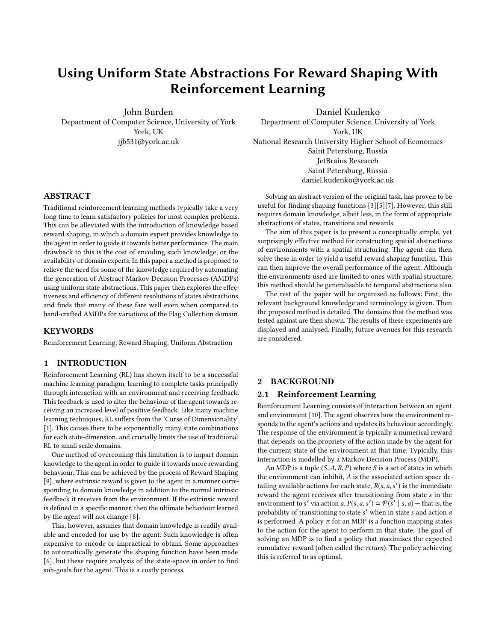<span id="page-3-0"></span>

Figure 1: Graphic representation of each variation on the Flag Collecting domain. The agent begins at the red cell marked 'S' and must traverse to the green cell marked 'G', whilst moving through yellow flag cells marked 'F'.

First is the fact that due to the offset of each Tiling in Tile Coding, updates to one specific feature vector can affect surrounding feature vectors also, namely the ones that share other active tiles. This is not possible in the proposed method, since only one Tiling is used, and therefore no active tiles are shared. Whilst this may seem like a disadvantage for the proposed method, it does allow this method to view the active tiles as abstract states in an AMDP. This allows the solving of this AMDP and use in reward shaping. This is not

possible with Tile Coding whilst retaining the sharing of active tiles in feature vectors.

Secondly, and more importantly, is that when Tile Coding is used with Function Approximation RL methods, the agent loses the ability to distinguish between states mapping to the same feature vector. Indeed, this is the whole point, as it reduces the different number of state-action pairs to learn values for. When the actions of the agent are limited, this can hinder the ability of the agent to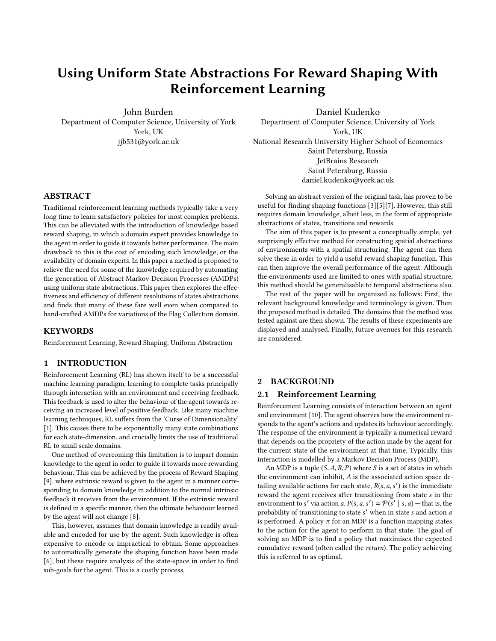<span id="page-4-0"></span>

| Name                     | Description                                                                                                       |
|--------------------------|-------------------------------------------------------------------------------------------------------------------|
| Basic                    | This is the basic environment for the Flag Collection domain. This has been used to test many RL algorithms       |
|                          | previously and serves as a standard benchmark [2][4].                                                             |
| Big                      | The 'Big' variation is the same as the the basic one, except every cell in the basic environment becomes a set of |
|                          | 3x3 cells. This increase in size will test the scalability of the method.                                         |
| Open                     | This variation is mostly open space with a few obstacles to traverse around. This variation was selected to see   |
|                          | how the agent handles a lot of wide open space and many action choices available.                                 |
| <b>Strips</b>            | The 'Strips' variation is composed of rooms of long, thin strips. These were chosen to directly contradict the    |
|                          | assumptions made by the upcoming method that abstractions are uniformly square. This was done in order to         |
|                          | see if the agent is able to adapt to environments that are very different from their abstract representation.     |
| <b>High Connectivity</b> | The 'High Connectivity' environment is full of rooms that are very interconnected. This fits with the abstract    |
|                          | agents assumption that it can always transition from one room to the next.                                        |
| Low Connectivity         | The 'Low Connectivity' variation uses the same room layout as the 'High Connectivity' variation, except now       |
|                          | the agent cannot transition between most rooms. More walls are present to block off its movement. Both the        |
|                          | high and low connectivity versions were selected in order to compare how the agent copes when transitions the     |
|                          | abstract agent uses for shaping do not exist.                                                                     |
|                          |                                                                                                                   |

Table 1: Descriptions of the variations on the Flag Collection domain that were selected.

navigate the state space successfully, as before it may have chained together different actions within one group of states that map to the same feature vector. Using Tile Coding, it cannot do this, and in each feature vector, the agent can perform only one action. In environments that require high levels of precision — such as the Flag Collection domain — this can lead to the agent becoming unable to complete the task. This disadvantage is not shared with the proposed method, the agent never loses the ability to distinguish between different states, regardless of which tile these states map to under the tiling. This allows the agent to still achieve precision even when actions are limited.

Both of these differences together make Tile Coding not suitable for environments in which actions are limited and precision is required - a flaw not shared by the proposed method.

## 6 EXPERIMENTAL RESULTS

The results from using the proposed method in Section [5](#page-2-0) are now given. Each variation of the Flag Collection environment was completed by the agent ten times. The results shown are the mean values of each attempt. The uniform tiling was performed using tiles of varying sizes depending on the variation size — but typically using tiles from size  $3 \times 3$  up to  $10 \times 10$ . The agent also completed each variation using a 'True' hand-labelled abstraction to represent perfect knowledge, as well as an agent that uses no reward shaping  $-$  just the standard  $Q(\lambda)$  algorithm.

Each algorithm used the same parameters, with the exception of the number of episodes the agent was tested on  $-$  this was tuned for each agent to show the differences in convergence times easier to visualise. The parameters used were  $\alpha = 0.1$ ,  $\lambda = 0.9$ ,  $\gamma = 0.99$ ,  $\omega$  = 20, and  $\epsilon$  = 0.5 initially and linearly decaying to 0.05. These parameters were all found empirically to give strong results over a wide range of environment variations and abstractions.

In Figure [3a](#page-6-0) there is a clear trend showing that many of the uniform tilings actually can compete with hand-labelled examples, and sometimes even converge quicker. This is actually quite intuitive, as using smaller tilings over a state-space will typically yield more transitions between abstract states. This means that there are more

<span id="page-4-1"></span>

Figure 2: Time taken to solve each abstraction and simulate 10,000 episodes for the basic Flag Collection domain

states in which reward shaping is fully utilised, as  $\phi(s) = \phi(s')$  if hoth s s'  $\epsilon$  t for abstract state t. The extrinsic reward is then equal both s,  $s' \in t$  for abstract state t. The extrinsic reward is then equal to  $\frac{v \phi(s') - \phi(s)}{h} = \frac{v - 1}{\phi(s)}$  In the case of the these experiments to  $\gamma \phi(s') - \phi(s) = (\gamma - 1)\phi(s)$ . In the case of the these experiments, the extrinsic reward then becomes  $-0.01 \times \phi(s)$ . The point here is the extrinsic reward then becomes  $-0.01 \times \phi(s)$ . The point here is that having more state transitions with a high extrinsic reward will give the agent more guidance.

Whilst using smaller tilings may improve the number of episodes required to converge to a near-optimal policy, solving the AMDP created becomes harder the more abstract states it has. In Figure [2](#page-4-1) the time taken to solve each abstraction and simulate 10000 episodes is shown. This figure shows the vast increase in time required for smaller tilings. Many of the smaller tilings take much longer than the hand labelled abstraction. However, the 5x5 tiling actually takes a time comparable to this hand labelled abstraction. The 5x5 tiling and hand labelled abstraction both perform similarly. This is a very positive result due to the difference in knowledge given to each agent and abstraction. The larger tilings take much less time, and although they perform worse than the hand labelled